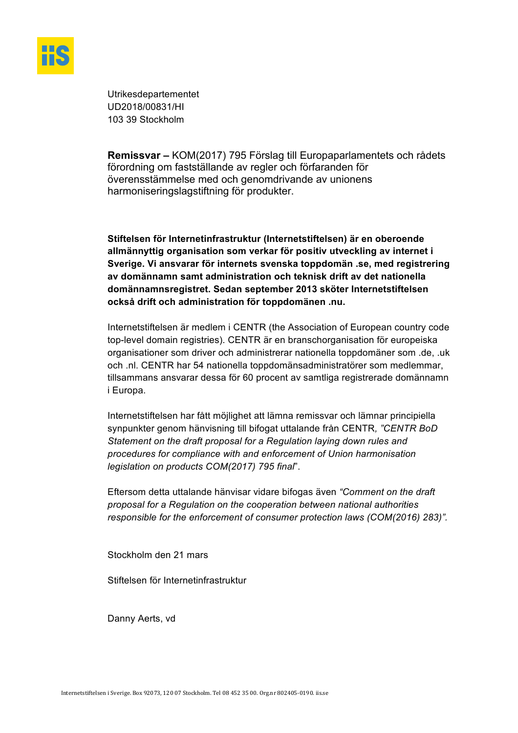

Utrikesdepartementet UD2018/00831/HI 103 39 Stockholm

**Remissvar –** KOM(2017) 795 Förslag till Europaparlamentets och rådets förordning om fastställande av regler och förfaranden för överensstämmelse med och genomdrivande av unionens harmoniseringslagstiftning för produkter.

**Stiftelsen för Internetinfrastruktur (Internetstiftelsen) är en oberoende allmännyttig organisation som verkar för positiv utveckling av internet i Sverige. Vi ansvarar för internets svenska toppdomän .se, med registrering av domännamn samt administration och teknisk drift av det nationella domännamnsregistret. Sedan september 2013 sköter Internetstiftelsen också drift och administration för toppdomänen .nu.** 

Internetstiftelsen är medlem i CENTR (the Association of European country code top-level domain registries). CENTR är en branschorganisation för europeiska organisationer som driver och administrerar nationella toppdomäner som .de, .uk och .nl. CENTR har 54 nationella toppdomänsadministratörer som medlemmar, tillsammans ansvarar dessa för 60 procent av samtliga registrerade domännamn i Europa.

Internetstiftelsen har fått möjlighet att lämna remissvar och lämnar principiella synpunkter genom hänvisning till bifogat uttalande från CENTR*, "CENTR BoD Statement on the draft proposal for a Regulation laying down rules and procedures for compliance with and enforcement of Union harmonisation legislation on products COM(2017) 795 final*".

Eftersom detta uttalande hänvisar vidare bifogas även *"Comment on the draft proposal for a Regulation on the cooperation between national authorities responsible for the enforcement of consumer protection laws (COM(2016) 283)".* 

Stockholm den 21 mars

Stiftelsen för Internetinfrastruktur

Danny Aerts, vd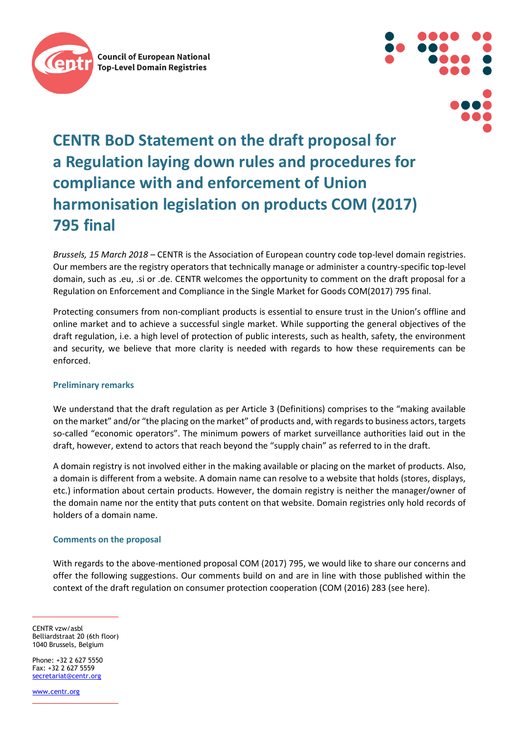



# **CENTR BoD Statement on the draft proposal for a Regulation laying down rules and procedures for compliance with and enforcement of Union harmonisation legislation on products COM (2017) 795 final**

*Brussels, 15 March 2018* – CENTR is the Association of European country code top-level domain registries. Our members are the registry operators that technically manage or administer a country-specific top-level domain, such as .eu, .si or .de. CENTR welcomes the opportunity to comment on the draft proposal for a Regulation on Enforcement and Compliance in the Single Market for Goods COM(2017) 795 final.

Protecting consumers from non-compliant products is essential to ensure trust in the Union's offline and online market and to achieve a successful single market. While supporting the general objectives of the draft regulation, i.e. a high level of protection of public interests, such as health, safety, the environment and security, we believe that more clarity is needed with regards to how these requirements can be enforced.

#### **Preliminary remarks**

We understand that the draft regulation as per Article 3 (Definitions) comprises to the "making available on the market" and/or "the placing on the market" of products and, with regards to business actors, targets so-called "economic operators". The minimum powers of market surveillance authorities laid out in the draft, however, extend to actors that reach beyond the "supply chain" as referred to in the draft.

A domain registry is not involved either in the making available or placing on the market of products. Also, a domain is different from a website. A domain name can resolve to a website that holds (stores, displays, etc.) information about certain products. However, the domain registry is neither the manager/owner of the domain name nor the entity that puts content on that website. Domain registries only hold records of holders of a domain name.

#### **Comments on the proposal**

With regards to the above-mentioned proposal COM (2017) 795, we would like to share our concerns and offer the following suggestions. Our comments build on and are in line with those published within the context of the draft regulation on consumer protection cooperation (COM (2016) 283 (see here).

CENTR vzw/asbl Belliardstraat 20 (6th floor) 1040 Brussels, Belgium

Phone: +32 2 627 5550  $Fay: +32 2 627 5559$ [secretariat@centr.org](mailto:secretariat@centr.org)

[www.centr.org](http://www.centr.org/)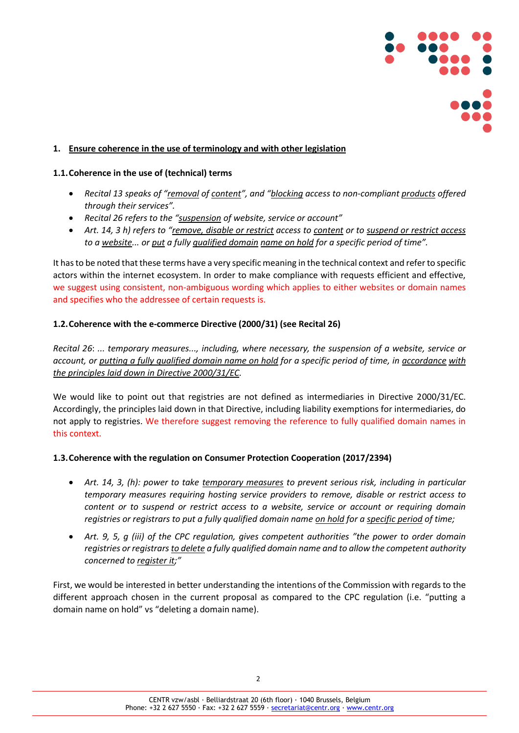

#### **1. Ensure coherence in the use of terminology and with other legislation**

#### **1.1.Coherence in the use of (technical) terms**

- *Recital 13 speaks of "removal of content", and "blocking access to non-compliant products offered through their services".*
- *Recital 26 refers to the "suspension of website, service or account"*
- *Art. 14, 3 h) refers to "remove, disable or restrict access to content or to suspend or restrict access to a website... or put a fully qualified domain name on hold for a specific period of time".*

It has to be noted that these terms have a very specific meaning in the technical context and refer to specific actors within the internet ecosystem. In order to make compliance with requests efficient and effective, we suggest using consistent, non-ambiguous wording which applies to either websites or domain names and specifies who the addressee of certain requests is.

#### **1.2.Coherence with the e-commerce Directive (2000/31) (see Recital 26)**

*Recital 26*: *... temporary measures..., including, where necessary, the suspension of a website, service or account, or putting a fully qualified domain name on hold for a specific period of time, in accordance with the principles laid down in Directive 2000/31/EC.* 

We would like to point out that registries are not defined as intermediaries in Directive 2000/31/EC. Accordingly, the principles laid down in that Directive, including liability exemptions for intermediaries, do not apply to registries. We therefore suggest removing the reference to fully qualified domain names in this context.

#### **1.3.Coherence with the regulation on Consumer Protection Cooperation (2017/2394)**

- *Art. 14, 3, (h): power to take temporary measures to prevent serious risk, including in particular temporary measures requiring hosting service providers to remove, disable or restrict access to content or to suspend or restrict access to a website, service or account or requiring domain registries or registrars to put a fully qualified domain name on hold for a specific period of time;*
- *Art. 9, 5, g (iii) of the CPC regulation, gives competent authorities "the power to order domain registries or registrars to delete a fully qualified domain name and to allow the competent authority concerned to register it;"*

First, we would be interested in better understanding the intentions of the Commission with regards to the different approach chosen in the current proposal as compared to the CPC regulation (i.e. "putting a domain name on hold" vs "deleting a domain name).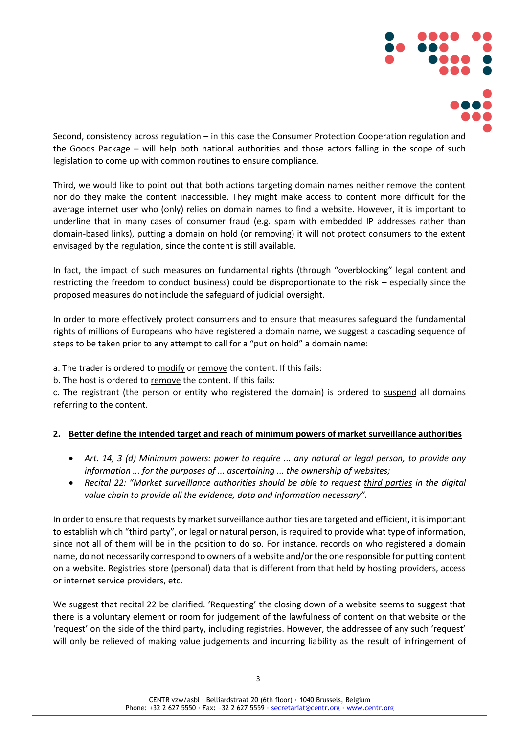

Second, consistency across regulation – in this case the Consumer Protection Cooperation regulation and the Goods Package – will help both national authorities and those actors falling in the scope of such legislation to come up with common routines to ensure compliance.

Third, we would like to point out that both actions targeting domain names neither remove the content nor do they make the content inaccessible. They might make access to content more difficult for the average internet user who (only) relies on domain names to find a website. However, it is important to underline that in many cases of consumer fraud (e.g. spam with embedded IP addresses rather than domain-based links), putting a domain on hold (or removing) it will not protect consumers to the extent envisaged by the regulation, since the content is still available.

In fact, the impact of such measures on fundamental rights (through "overblocking" legal content and restricting the freedom to conduct business) could be disproportionate to the risk – especially since the proposed measures do not include the safeguard of judicial oversight.

In order to more effectively protect consumers and to ensure that measures safeguard the fundamental rights of millions of Europeans who have registered a domain name, we suggest a cascading sequence of steps to be taken prior to any attempt to call for a "put on hold" a domain name:

a. The trader is ordered to modify or remove the content. If this fails:

b. The host is ordered to remove the content. If this fails:

c. The registrant (the person or entity who registered the domain) is ordered to suspend all domains referring to the content.

### **2. Better define the intended target and reach of minimum powers of market surveillance authorities**

- *Art. 14, 3 (d) Minimum powers: power to require ... any natural or legal person, to provide any information ... for the purposes of ... ascertaining ... the ownership of websites;*
- *Recital 22: "Market surveillance authorities should be able to request third parties in the digital value chain to provide all the evidence, data and information necessary".*

In order to ensure that requests by market surveillance authorities are targeted and efficient, it is important to establish which "third party", or legal or natural person, is required to provide what type of information, since not all of them will be in the position to do so. For instance, records on who registered a domain name, do not necessarily correspond to owners of a website and/or the one responsible for putting content on a website. Registries store (personal) data that is different from that held by hosting providers, access or internet service providers, etc.

We suggest that recital 22 be clarified. 'Requesting' the closing down of a website seems to suggest that there is a voluntary element or room for judgement of the lawfulness of content on that website or the 'request' on the side of the third party, including registries. However, the addressee of any such 'request' will only be relieved of making value judgements and incurring liability as the result of infringement of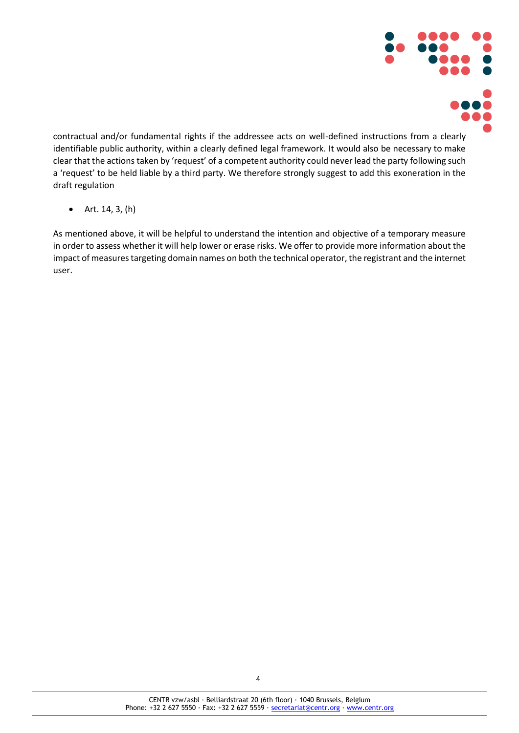

contractual and/or fundamental rights if the addressee acts on well-defined instructions from a clearly identifiable public authority, within a clearly defined legal framework. It would also be necessary to make clear that the actions taken by 'request' of a competent authority could never lead the party following such a 'request' to be held liable by a third party. We therefore strongly suggest to add this exoneration in the draft regulation

• Art. 14, 3, (h)

As mentioned above, it will be helpful to understand the intention and objective of a temporary measure in order to assess whether it will help lower or erase risks. We offer to provide more information about the impact of measures targeting domain names on both the technical operator, the registrant and the internet user.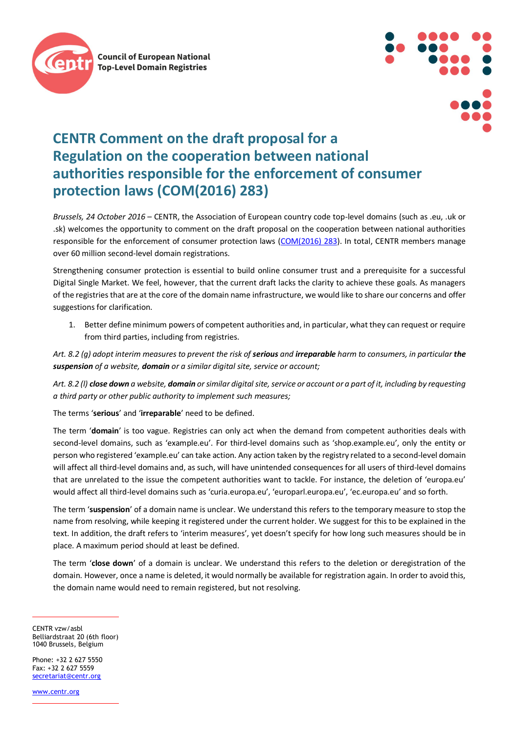



## **CENTR Comment on the draft proposal for a Regulation on the cooperation between national authorities responsible for the enforcement of consumer protection laws (COM(2016) 283)**

*Brussels, 24 October 2016* – CENTR, the Association of European country code top-level domains (such as .eu, .uk or .sk) welcomes the opportunity to comment on the draft proposal on the cooperation between national authorities responsible for the enforcement of consumer protection laws [\(COM\(2016\) 283\)](http://ec.europa.eu/consumers/consumer_rights/unfair-trade/docs/cpc-revision-proposal_en.pdf). In total, CENTR members manage over 60 million second-level domain registrations.

Strengthening consumer protection is essential to build online consumer trust and a prerequisite for a successful Digital Single Market. We feel, however, that the current draft lacks the clarity to achieve these goals. As managers of the registries that are at the core of the domain name infrastructure, we would like to share our concerns and offer suggestions for clarification.

1. Better define minimum powers of competent authorities and, in particular, what they can request or require from third parties, including from registries.

Art. 8.2 (g) adopt interim measures to prevent the risk of **serious** and *irreparable* harm to consumers, in particular the *suspension of a website, domain or a similar digital site, service or account;* 

*Art. 8.2 (l) close down a website, domain or similar digital site, service or account or a part of it, including by requesting a third party or other public authority to implement such measures;*

The terms '**serious**' and '**irreparable**' need to be defined.

The term '**domain**' is too vague. Registries can only act when the demand from competent authorities deals with second-level domains, such as 'example.eu'. For third-level domains such as 'shop.example.eu', only the entity or person who registered 'example.eu' can take action. Any action taken by the registry related to a second-level domain will affect all third-level domains and, as such, will have unintended consequences for all users of third-level domains that are unrelated to the issue the competent authorities want to tackle. For instance, the deletion of 'europa.eu' would affect all third-level domains such as 'curia.europa.eu', 'europarl.europa.eu', 'ec.europa.eu' and so forth.

The term '**suspension**' of a domain name is unclear. We understand this refers to the temporary measure to stop the name from resolving, while keeping it registered under the current holder. We suggest for this to be explained in the text. In addition, the draft refers to 'interim measures', yet doesn't specify for how long such measures should be in place. A maximum period should at least be defined.

The term '**close down**' of a domain is unclear. We understand this refers to the deletion or deregistration of the domain. However, once a name is deleted, it would normally be available for registration again. In order to avoid this, the domain name would need to remain registered, but not resolving.

CENTR vzw/asbl Belliardstraat 20 (6th floor) 1040 Brussels, Belgium

Phone: +32 2 627 5550 Fax: +32 2 627 5559 secretariat@centr.org

www.centr.org